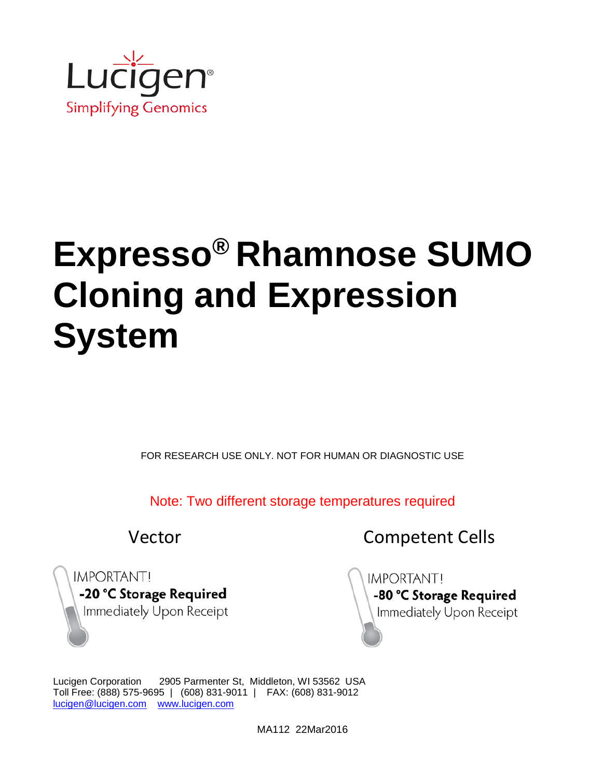

FOR RESEARCH USE ONLY. NOT FOR HUMAN OR DIAGNOSTIC USE

Note: Two different storage temperatures required

Vector **Competent Cells** 

**IMPORTANT!** -20 °C Storage Required Immediately Upon Receipt **IMPORTANTI** -80 °C Storage Required Immediately Upon Receipt

Lucigen Corporation 2905 Parmenter St, Middleton, WI 53562 USA Toll Free: (888) 575-9695 | (608) 831-9011 | FAX: (608) 831-9012 [lucigen@lucigen.com](mailto:lucigen@lucigen.com) [www.lucigen.com](http://www.lucigen.com/)

MA112 22Mar2016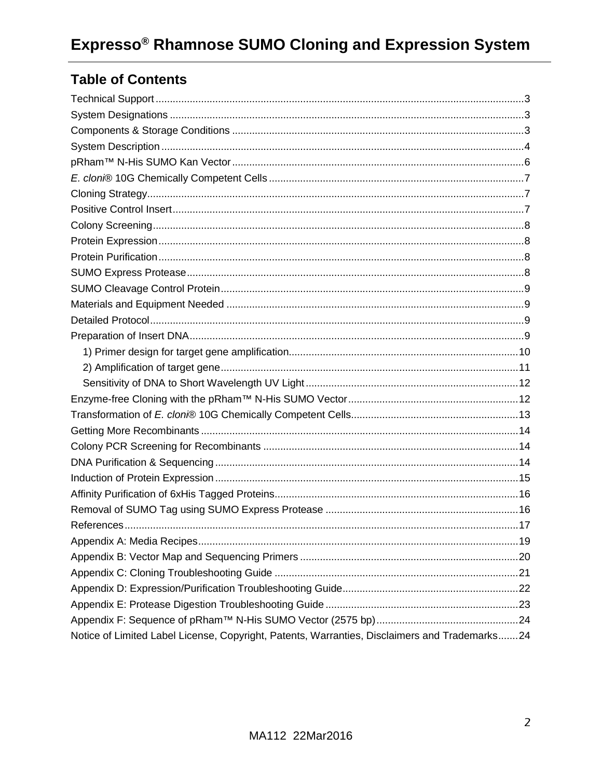# **Table of Contents**

| Notice of Limited Label License, Copyright, Patents, Warranties, Disclaimers and Trademarks24 |  |
|-----------------------------------------------------------------------------------------------|--|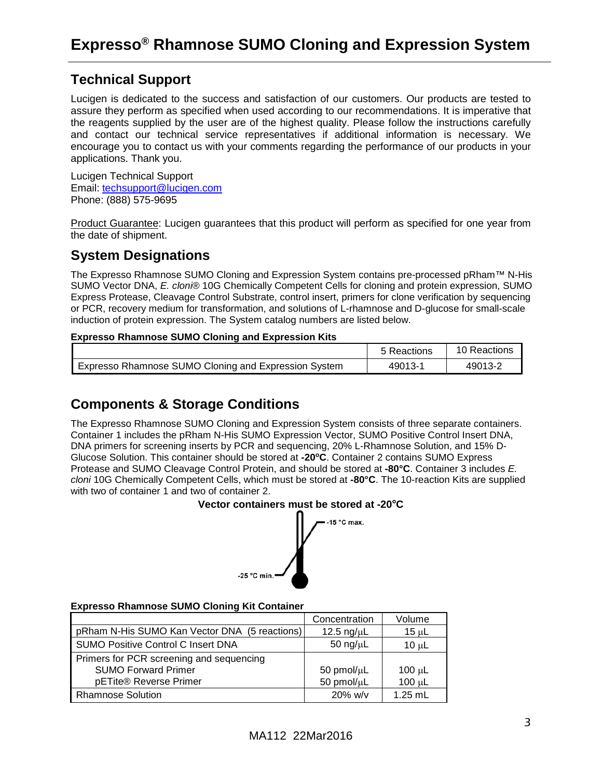### <span id="page-2-0"></span>**Technical Support**

Lucigen is dedicated to the success and satisfaction of our customers. Our products are tested to assure they perform as specified when used according to our recommendations. It is imperative that the reagents supplied by the user are of the highest quality. Please follow the instructions carefully and contact our technical service representatives if additional information is necessary. We encourage you to contact us with your comments regarding the performance of our products in your applications. Thank you.

Lucigen Technical Support Email: [techsupport@lucigen.com](mailto:techsupport@lucigen.com) Phone: (888) 575-9695

Product Guarantee: Lucigen guarantees that this product will perform as specified for one year from the date of shipment.

### <span id="page-2-1"></span>**System Designations**

The Expresso Rhamnose SUMO Cloning and Expression System contains pre-processed pRham™ N-His SUMO Vector DNA, *E. cloni*® 10G Chemically Competent Cells for cloning and protein expression, SUMO Express Protease, Cleavage Control Substrate, control insert, primers for clone verification by sequencing or PCR, recovery medium for transformation, and solutions of L-rhamnose and D-glucose for small-scale induction of protein expression. The System catalog numbers are listed below.

#### **Expresso Rhamnose SUMO Cloning and Expression Kits**

|                                                      | 5 Reactions | 10 Reactions |
|------------------------------------------------------|-------------|--------------|
| Expresso Rhamnose SUMO Cloning and Expression System | 49013-1     | 49013-2      |

### <span id="page-2-2"></span>**Components & Storage Conditions**

The Expresso Rhamnose SUMO Cloning and Expression System consists of three separate containers. Container 1 includes the pRham N-His SUMO Expression Vector, SUMO Positive Control Insert DNA, DNA primers for screening inserts by PCR and sequencing, 20% L-Rhamnose Solution, and 15% D-Glucose Solution. This container should be stored at **-20oC**. Container 2 contains SUMO Express Protease and SUMO Cleavage Control Protein, and should be stored at **-80°C**. Container 3 includes *E. cloni* 10G Chemically Competent Cells, which must be stored at **-80°C**. The 10-reaction Kits are supplied with two of container 1 and two of container 2.





#### **Expresso Rhamnose SUMO Cloning Kit Container**

|                                               | Concentration    | Volume      |
|-----------------------------------------------|------------------|-------------|
| pRham N-His SUMO Kan Vector DNA (5 reactions) | 12.5 ng/ $\mu$ L | 15 $\mu$ L  |
| <b>SUMO Positive Control C Insert DNA</b>     | 50 ng/ $\mu$ L   | $10 \mu L$  |
| Primers for PCR screening and sequencing      |                  |             |
| <b>SUMO Forward Primer</b>                    | 50 pmol/ $\mu$ L | $100 \mu L$ |
| pETite® Reverse Primer                        | 50 pmol/µL       | $100 \mu L$ |
| <b>Rhamnose Solution</b>                      | $20\%$ w/v       | $1.25$ mL   |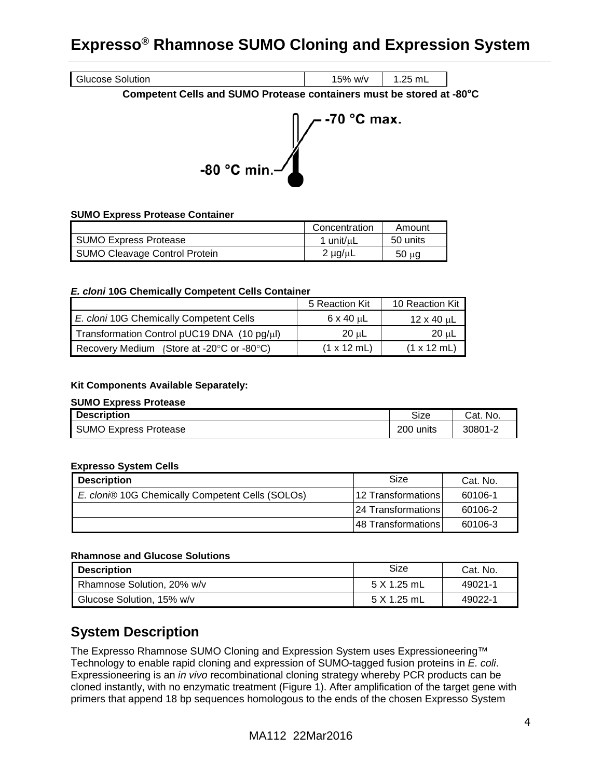

#### **Competent Cells and SUMO Protease containers must be stored at -80**°**C**



#### **SUMO Express Protease Container**

|                                      | Concentration     | Amount     |
|--------------------------------------|-------------------|------------|
| SUMO Express Protease                | 1 unit/µL         | 50 units   |
| <b>SUMO Cleavage Control Protein</b> | $2 \mu q / \mu L$ | $50 \mu g$ |

#### *E. cloni* **10G Chemically Competent Cells Container**

|                                                               | 5 Reaction Kit             | 10 Reaction Kit            |
|---------------------------------------------------------------|----------------------------|----------------------------|
| E. cloni 10G Chemically Competent Cells                       | $6 \times 40 \mu L$        | $12 \times 40$ uL          |
| Transformation Control pUC19 DNA (10 pg/µl)                   | 20 սL                      | 20 µL                      |
| Recovery Medium (Store at -20 $\degree$ C or -80 $\degree$ C) | $(1 \times 12 \text{ mL})$ | $(1 \times 12 \text{ mL})$ |

#### **Kit Components Available Separately:**

#### **SUMO Express Protease**

| <b>Description</b>    | Size      | Cat. No. |
|-----------------------|-----------|----------|
| SUMO Express Protease | 200 units | 30801-2  |

#### **Expresso System Cells**

| <b>Description</b>                              | Size                 | Cat. No. |
|-------------------------------------------------|----------------------|----------|
| E. clon® 10G Chemically Competent Cells (SOLOs) | l12 TransformationsI | 60106-1  |
|                                                 | 124 Transformations  | 60106-2  |
|                                                 | 48 Transformations   | 60106-3  |

#### **Rhamnose and Glucose Solutions**

| <b>Description</b>         | Size        | Cat. No. |
|----------------------------|-------------|----------|
| Rhamnose Solution, 20% w/v | 5 X 1.25 mL | 49021-1  |
| Glucose Solution, 15% w/v  | 5 X 1.25 mL | 49022-1  |

### <span id="page-3-0"></span>**System Description**

The Expresso Rhamnose SUMO Cloning and Expression System uses Expressioneering™ Technology to enable rapid cloning and expression of SUMO-tagged fusion proteins in *E. coli*. Expressioneering is an *in vivo* recombinational cloning strategy whereby PCR products can be cloned instantly, with no enzymatic treatment (Figure 1). After amplification of the target gene with primers that append 18 bp sequences homologous to the ends of the chosen Expresso System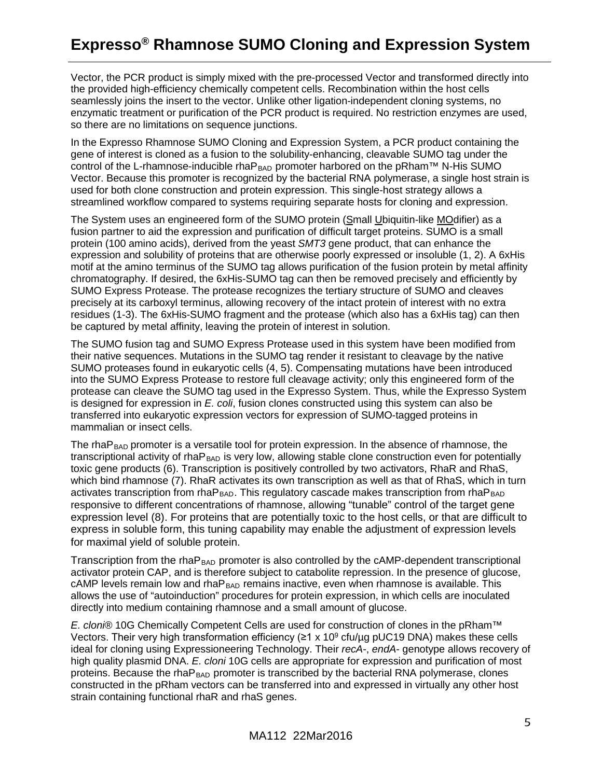Vector, the PCR product is simply mixed with the pre-processed Vector and transformed directly into the provided high-efficiency chemically competent cells. Recombination within the host cells seamlessly joins the insert to the vector. Unlike other ligation-independent cloning systems, no enzymatic treatment or purification of the PCR product is required. No restriction enzymes are used, so there are no limitations on sequence junctions.

In the Expresso Rhamnose SUMO Cloning and Expression System, a PCR product containing the gene of interest is cloned as a fusion to the solubility-enhancing, cleavable SUMO tag under the control of the L-rhamnose-inducible rha $P_{BAD}$  promoter harbored on the pRham<sup>TM</sup> N-His SUMO Vector. Because this promoter is recognized by the bacterial RNA polymerase, a single host strain is used for both clone construction and protein expression. This single-host strategy allows a streamlined workflow compared to systems requiring separate hosts for cloning and expression.

The System uses an engineered form of the SUMO protein (Small Ubiquitin-like MOdifier) as a fusion partner to aid the expression and purification of difficult target proteins. SUMO is a small protein (100 amino acids), derived from the yeast *SMT3* gene product, that can enhance the expression and solubility of proteins that are otherwise poorly expressed or insoluble (1, 2). A 6xHis motif at the amino terminus of the SUMO tag allows purification of the fusion protein by metal affinity chromatography. If desired, the 6xHis-SUMO tag can then be removed precisely and efficiently by SUMO Express Protease. The protease recognizes the tertiary structure of SUMO and cleaves precisely at its carboxyl terminus, allowing recovery of the intact protein of interest with no extra residues (1-3). The 6xHis-SUMO fragment and the protease (which also has a 6xHis tag) can then be captured by metal affinity, leaving the protein of interest in solution.

The SUMO fusion tag and SUMO Express Protease used in this system have been modified from their native sequences. Mutations in the SUMO tag render it resistant to cleavage by the native SUMO proteases found in eukaryotic cells (4, 5). Compensating mutations have been introduced into the SUMO Express Protease to restore full cleavage activity; only this engineered form of the protease can cleave the SUMO tag used in the Expresso System. Thus, while the Expresso System is designed for expression in *E. coli*, fusion clones constructed using this system can also be transferred into eukaryotic expression vectors for expression of SUMO-tagged proteins in mammalian or insect cells.

The rha $P_{BAD}$  promoter is a versatile tool for protein expression. In the absence of rhamnose, the transcriptional activity of rha $P_{BAD}$  is very low, allowing stable clone construction even for potentially toxic gene products (6). Transcription is positively controlled by two activators, RhaR and RhaS, which bind rhamnose (7). RhaR activates its own transcription as well as that of RhaS, which in turn activates transcription from rha $P_{BAD}$ . This regulatory cascade makes transcription from rha $P_{BAD}$ responsive to different concentrations of rhamnose, allowing "tunable" control of the target gene expression level (8). For proteins that are potentially toxic to the host cells, or that are difficult to express in soluble form, this tuning capability may enable the adjustment of expression levels for maximal yield of soluble protein.

Transcription from the rhaP<sub>BAD</sub> promoter is also controlled by the cAMP-dependent transcriptional activator protein CAP, and is therefore subject to catabolite repression. In the presence of glucose, cAMP levels remain low and rha $P_{BAD}$  remains inactive, even when rhamnose is available. This allows the use of "autoinduction" procedures for protein expression, in which cells are inoculated directly into medium containing rhamnose and a small amount of glucose.

*E. cloni®* 10G Chemically Competent Cells are used for construction of clones in the pRham™ Vectors. Their very high transformation efficiency ( $\geq 1 \times 10^9$  cfu/µg pUC19 DNA) makes these cells ideal for cloning using Expressioneering Technology. Their *recA*-, *endA*- genotype allows recovery of high quality plasmid DNA. *E. cloni* 10G cells are appropriate for expression and purification of most proteins. Because the rha $P_{BAD}$  promoter is transcribed by the bacterial RNA polymerase, clones constructed in the pRham vectors can be transferred into and expressed in virtually any other host strain containing functional rhaR and rhaS genes.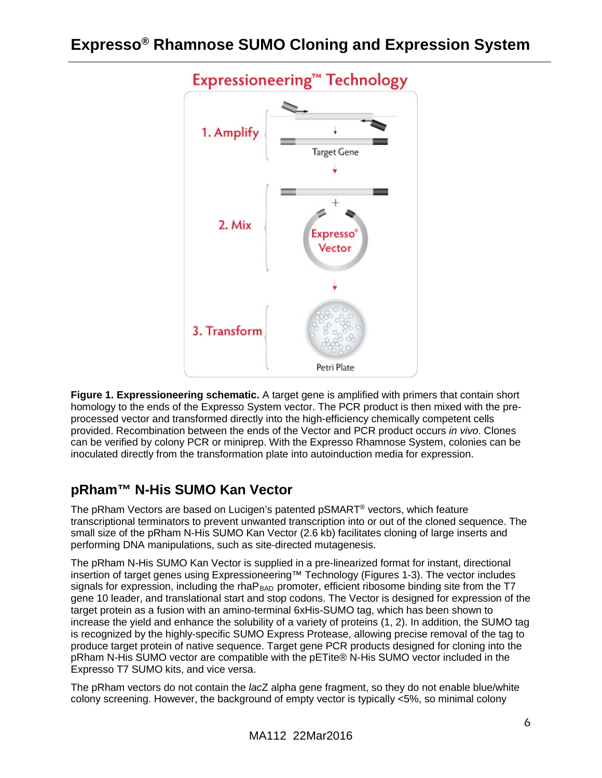

**Figure 1. Expressioneering schematic.** A target gene is amplified with primers that contain short homology to the ends of the Expresso System vector. The PCR product is then mixed with the preprocessed vector and transformed directly into the high-efficiency chemically competent cells provided. Recombination between the ends of the Vector and PCR product occurs *in vivo*. Clones can be verified by colony PCR or miniprep. With the Expresso Rhamnose System, colonies can be inoculated directly from the transformation plate into autoinduction media for expression.

### <span id="page-5-0"></span>**pRham™ N-His SUMO Kan Vector**

The pRham Vectors are based on Lucigen's patented pSMART® vectors, which feature transcriptional terminators to prevent unwanted transcription into or out of the cloned sequence. The small size of the pRham N-His SUMO Kan Vector (2.6 kb) facilitates cloning of large inserts and performing DNA manipulations, such as site-directed mutagenesis.

The pRham N-His SUMO Kan Vector is supplied in a pre-linearized format for instant, directional insertion of target genes using Expressioneering™ Technology (Figures 1-3). The vector includes signals for expression, including the rhaP<sub>BAD</sub> promoter, efficient ribosome binding site from the T7 gene 10 leader, and translational start and stop codons. The Vector is designed for expression of the target protein as a fusion with an amino-terminal 6xHis-SUMO tag, which has been shown to increase the yield and enhance the solubility of a variety of proteins (1, 2). In addition, the SUMO tag is recognized by the highly-specific SUMO Express Protease, allowing precise removal of the tag to produce target protein of native sequence. Target gene PCR products designed for cloning into the pRham N-His SUMO vector are compatible with the pETite® N-His SUMO vector included in the Expresso T7 SUMO kits, and vice versa.

The pRham vectors do not contain the *lac*Z alpha gene fragment, so they do not enable blue/white colony screening. However, the background of empty vector is typically <5%, so minimal colony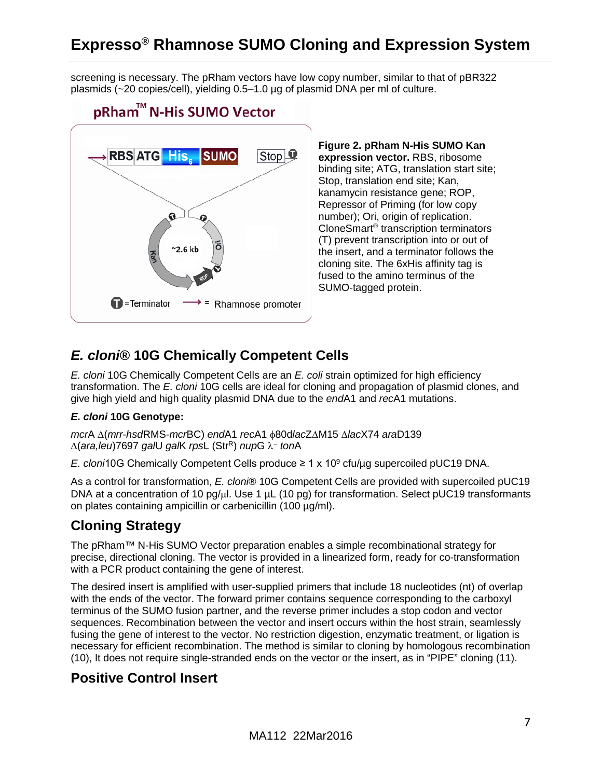screening is necessary. The pRham vectors have low copy number, similar to that of pBR322 plasmids (~20 copies/cell), yielding 0.5–1.0 µg of plasmid DNA per ml of culture.



**Figure 2. pRham N-His SUMO Kan expression vector.** RBS, ribosome binding site; ATG, translation start site; Stop, translation end site; Kan, kanamycin resistance gene; ROP, Repressor of Priming (for low copy number); Ori, origin of replication. CloneSmart® transcription terminators (T) prevent transcription into or out of the insert, and a terminator follows the cloning site. The 6xHis affinity tag is fused to the amino terminus of the SUMO-tagged protein.

### <span id="page-6-0"></span>*E. cloni***® 10G Chemically Competent Cells**

*E. cloni* 10G Chemically Competent Cells are an *E. coli* strain optimized for high efficiency transformation. The *E. cloni* 10G cells are ideal for cloning and propagation of plasmid clones, and give high yield and high quality plasmid DNA due to the *end*A1 and *rec*A1 mutations.

#### *E. cloni* **10G Genotype:**

*mcr*A ∆(*mrr*-*hsd*RMS-*mcr*BC) *end*A1 *rec*A1 φ80d*lac*Z∆M15 ∆*lac*X74 *ara*D139 ∆(*ara,leu*)7697 *gal*U *gal*K *rps*L (StrR) *nup*G λ− *ton*A

*E. cloni*10G Chemically Competent Cells produce  $\geq 1 \times 10^9$  cfu/µg supercoiled pUC19 DNA.

As a control for transformation, *E. cloni*® 10G Competent Cells are provided with supercoiled pUC19 DNA at a concentration of 10 pg/µl. Use 1 µL (10 pg) for transformation. Select pUC19 transformants on plates containing ampicillin or carbenicillin (100 µg/ml).

### <span id="page-6-1"></span>**Cloning Strategy**

The pRham™ N-His SUMO Vector preparation enables a simple recombinational strategy for precise, directional cloning. The vector is provided in a linearized form, ready for co-transformation with a PCR product containing the gene of interest.

The desired insert is amplified with user-supplied primers that include 18 nucleotides (nt) of overlap with the ends of the vector. The forward primer contains sequence corresponding to the carboxyl terminus of the SUMO fusion partner, and the reverse primer includes a stop codon and vector sequences. Recombination between the vector and insert occurs within the host strain, seamlessly fusing the gene of interest to the vector. No restriction digestion, enzymatic treatment, or ligation is necessary for efficient recombination. The method is similar to cloning by homologous recombination (10), It does not require single-stranded ends on the vector or the insert, as in "PIPE" cloning (11).

### <span id="page-6-2"></span>**Positive Control Insert**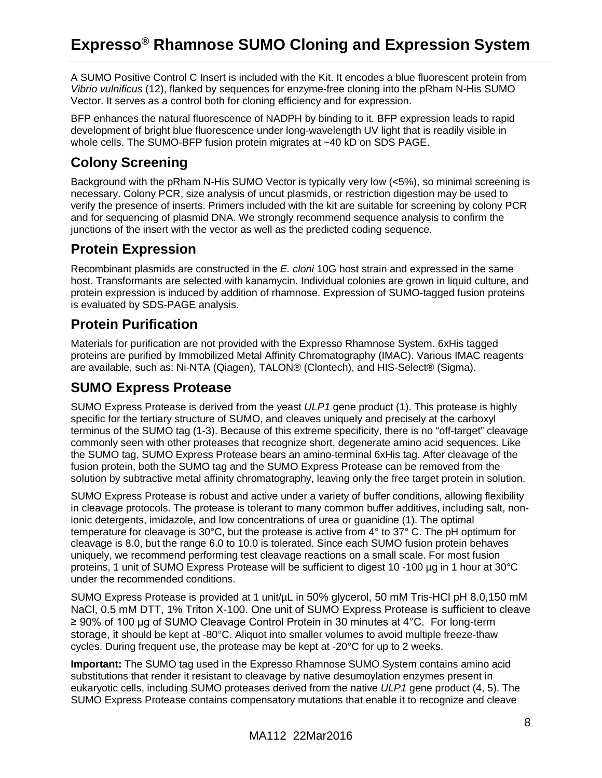A SUMO Positive Control C Insert is included with the Kit. It encodes a blue fluorescent protein from *Vibrio vulnificus* (12), flanked by sequences for enzyme-free cloning into the pRham N-His SUMO Vector. It serves as a control both for cloning efficiency and for expression.

BFP enhances the natural fluorescence of NADPH by binding to it. BFP expression leads to rapid development of bright blue fluorescence under long-wavelength UV light that is readily visible in whole cells. The SUMO-BFP fusion protein migrates at ~40 kD on SDS PAGE.

### <span id="page-7-0"></span>**Colony Screening**

Background with the pRham N-His SUMO Vector is typically very low (<5%), so minimal screening is necessary. Colony PCR, size analysis of uncut plasmids, or restriction digestion may be used to verify the presence of inserts. Primers included with the kit are suitable for screening by colony PCR and for sequencing of plasmid DNA. We strongly recommend sequence analysis to confirm the junctions of the insert with the vector as well as the predicted coding sequence.

### <span id="page-7-1"></span>**Protein Expression**

Recombinant plasmids are constructed in the *E. cloni* 10G host strain and expressed in the same host. Transformants are selected with kanamycin. Individual colonies are grown in liquid culture, and protein expression is induced by addition of rhamnose. Expression of SUMO-tagged fusion proteins is evaluated by SDS-PAGE analysis.

### <span id="page-7-2"></span>**Protein Purification**

Materials for purification are not provided with the Expresso Rhamnose System. 6xHis tagged proteins are purified by Immobilized Metal Affinity Chromatography (IMAC). Various IMAC reagents are available, such as: Ni-NTA (Qiagen), TALON® (Clontech), and HIS-Select® (Sigma).

### <span id="page-7-3"></span>**SUMO Express Protease**

SUMO Express Protease is derived from the yeast *ULP1* gene product (1). This protease is highly specific for the tertiary structure of SUMO, and cleaves uniquely and precisely at the carboxyl terminus of the SUMO tag (1-3). Because of this extreme specificity, there is no "off-target" cleavage commonly seen with other proteases that recognize short, degenerate amino acid sequences. Like the SUMO tag, SUMO Express Protease bears an amino-terminal 6xHis tag. After cleavage of the fusion protein, both the SUMO tag and the SUMO Express Protease can be removed from the solution by subtractive metal affinity chromatography, leaving only the free target protein in solution.

SUMO Express Protease is robust and active under a variety of buffer conditions, allowing flexibility in cleavage protocols. The protease is tolerant to many common buffer additives, including salt, nonionic detergents, imidazole, and low concentrations of urea or guanidine (1). The optimal temperature for cleavage is 30°C, but the protease is active from 4° to 37° C. The pH optimum for cleavage is 8.0, but the range 6.0 to 10.0 is tolerated. Since each SUMO fusion protein behaves uniquely, we recommend performing test cleavage reactions on a small scale. For most fusion proteins, 1 unit of SUMO Express Protease will be sufficient to digest 10 -100 µg in 1 hour at 30°C under the recommended conditions.

SUMO Express Protease is provided at 1 unit/µL in 50% glycerol, 50 mM Tris-HCl pH 8.0,150 mM NaCl, 0.5 mM DTT, 1% Triton X-100. One unit of SUMO Express Protease is sufficient to cleave ≥ 90% of 100 µg of SUMO Cleavage Control Protein in 30 minutes at 4°C. For long-term storage, it should be kept at -80°C. Aliquot into smaller volumes to avoid multiple freeze-thaw cycles. During frequent use, the protease may be kept at -20°C for up to 2 weeks.

**Important:** The SUMO tag used in the Expresso Rhamnose SUMO System contains amino acid substitutions that render it resistant to cleavage by native desumoylation enzymes present in eukaryotic cells, including SUMO proteases derived from the native *ULP1* gene product (4, 5). The SUMO Express Protease contains compensatory mutations that enable it to recognize and cleave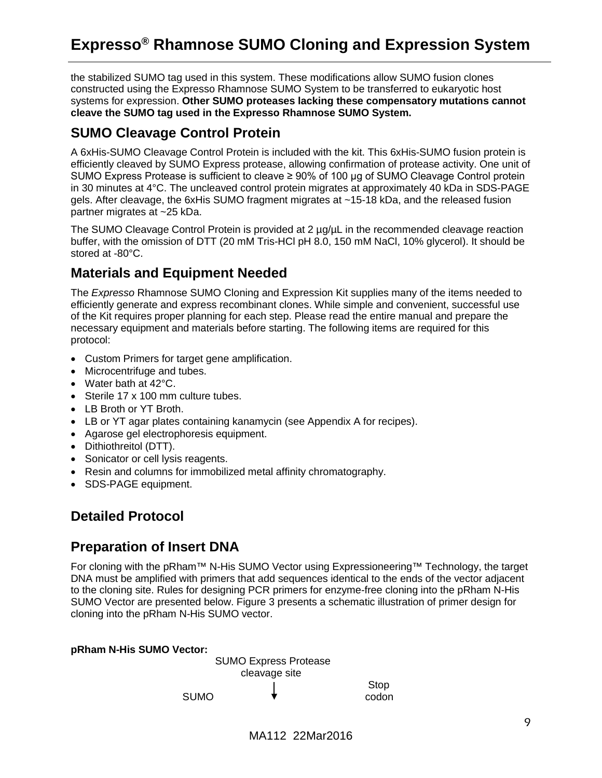the stabilized SUMO tag used in this system. These modifications allow SUMO fusion clones constructed using the Expresso Rhamnose SUMO System to be transferred to eukaryotic host systems for expression. **Other SUMO proteases lacking these compensatory mutations cannot cleave the SUMO tag used in the Expresso Rhamnose SUMO System.**

### <span id="page-8-0"></span>**SUMO Cleavage Control Protein**

A 6xHis-SUMO Cleavage Control Protein is included with the kit. This 6xHis-SUMO fusion protein is efficiently cleaved by SUMO Express protease, allowing confirmation of protease activity. One unit of SUMO Express Protease is sufficient to cleave ≥ 90% of 100 µg of SUMO Cleavage Control protein in 30 minutes at 4°C. The uncleaved control protein migrates at approximately 40 kDa in SDS-PAGE gels. After cleavage, the 6xHis SUMO fragment migrates at ~15-18 kDa, and the released fusion partner migrates at ~25 kDa.

The SUMO Cleavage Control Protein is provided at 2 ug/uL in the recommended cleavage reaction buffer, with the omission of DTT (20 mM Tris-HCl pH 8.0, 150 mM NaCl, 10% glycerol). It should be stored at -80°C.

### <span id="page-8-1"></span>**Materials and Equipment Needed**

The *Expresso* Rhamnose SUMO Cloning and Expression Kit supplies many of the items needed to efficiently generate and express recombinant clones. While simple and convenient, successful use of the Kit requires proper planning for each step. Please read the entire manual and prepare the necessary equipment and materials before starting. The following items are required for this protocol:

- Custom Primers for target gene amplification.
- Microcentrifuge and tubes.
- Water bath at 42°C.
- Sterile 17 x 100 mm culture tubes.
- LB Broth or YT Broth.
- LB or YT agar plates containing kanamycin (see Appendix A for recipes).
- Agarose gel electrophoresis equipment.
- Dithiothreitol (DTT).
- Sonicator or cell lysis reagents.
- Resin and columns for immobilized metal affinity chromatography.
- SDS-PAGE equipment.

### <span id="page-8-2"></span>**Detailed Protocol**

### <span id="page-8-3"></span>**Preparation of Insert DNA**

For cloning with the pRham™ N-His SUMO Vector using Expressioneering™ Technology, the target DNA must be amplified with primers that add sequences identical to the ends of the vector adjacent to the cloning site. Rules for designing PCR primers for enzyme-free cloning into the pRham N-His SUMO Vector are presented below. Figure 3 presents a schematic illustration of primer design for cloning into the pRham N-His SUMO vector.

#### **pRham N-His SUMO Vector:**

SUMO Express Protease cleavage site Stop SUMO  $\bullet$  codon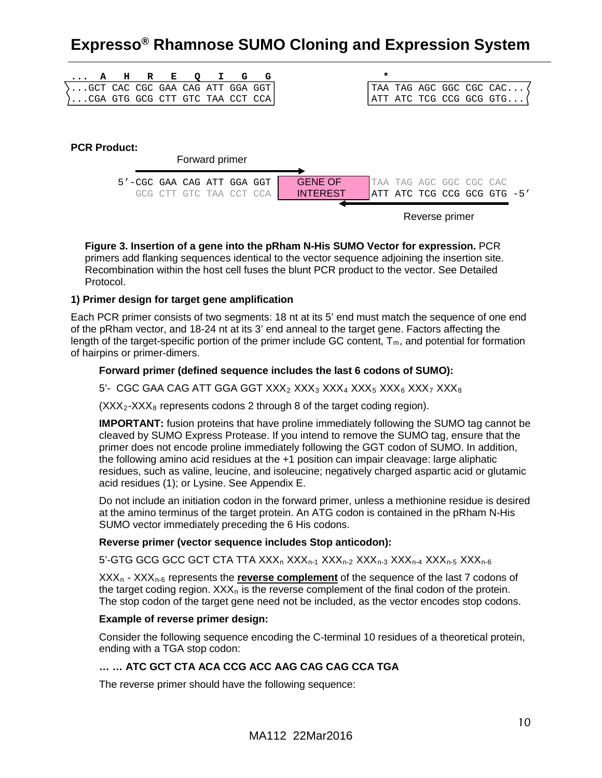|  | A | н                   | $\mathbb{R}$ | Е               | Q       |                                 | G                   | G |                 | $\star$ |                         |  |                             |  |
|--|---|---------------------|--------------|-----------------|---------|---------------------------------|---------------------|---|-----------------|---------|-------------------------|--|-----------------------------|--|
|  |   |                     |              |                 |         | GCT CAC CGC GAA CAG ATT GGA GGT |                     |   |                 |         |                         |  | TAA TAG AGC GGC CGC CAC     |  |
|  |   |                     |              |                 |         | CGA GTG GCG CTT GTC TAA CCT CCA |                     |   |                 |         |                         |  | ATT ATC TCG CCG GCG GTG     |  |
|  |   |                     |              |                 |         |                                 |                     |   |                 |         |                         |  |                             |  |
|  |   |                     |              |                 |         |                                 |                     |   |                 |         |                         |  |                             |  |
|  |   |                     |              |                 |         |                                 |                     |   |                 |         |                         |  |                             |  |
|  |   | <b>PCR Product:</b> |              |                 |         |                                 |                     |   |                 |         |                         |  |                             |  |
|  |   |                     |              |                 |         | Forward primer                  |                     |   |                 |         |                         |  |                             |  |
|  |   |                     |              |                 |         | 5'-CGC GAA CAG ATT GGA GGT      |                     |   | <b>GENE OF</b>  |         | TAA TAG AGC GGC CGC CAC |  |                             |  |
|  |   |                     | GCG          | $\cap$ T $\cap$ | GTC TAA |                                 | $($ $($ $"$ $ $ $"$ |   | <b>INTEREST</b> |         |                         |  | ATT ATC TCG CCG GCG GTG -5' |  |
|  |   |                     |              |                 |         |                                 |                     |   |                 |         |                         |  |                             |  |

Reverse primer

**Figure 3. Insertion of a gene into the pRham N-His SUMO Vector for expression.** PCR primers add flanking sequences identical to the vector sequence adjoining the insertion site. Recombination within the host cell fuses the blunt PCR product to the vector. See Detailed Protocol.

#### <span id="page-9-0"></span>**1) Primer design for target gene amplification**

Each PCR primer consists of two segments: 18 nt at its 5' end must match the sequence of one end of the pRham vector, and 18-24 nt at its 3' end anneal to the target gene. Factors affecting the length of the target-specific portion of the primer include GC content,  $T_m$ , and potential for formation of hairpins or primer-dimers.

#### **Forward primer (defined sequence includes the last 6 codons of SUMO):**

#### 5'- CGC GAA CAG ATT GGA GGT  $XXX_2$   $XXX_3$   $XXX_4$   $XXX_5$   $XXX_6$   $XXX_7$   $XXX_8$

 $(XXX<sub>2</sub>-XXX<sub>8</sub>$  represents codons 2 through 8 of the target coding region).

**IMPORTANT:** fusion proteins that have proline immediately following the SUMO tag cannot be cleaved by SUMO Express Protease. If you intend to remove the SUMO tag, ensure that the primer does not encode proline immediately following the GGT codon of SUMO. In addition, the following amino acid residues at the +1 position can impair cleavage: large aliphatic residues, such as valine, leucine, and isoleucine; negatively charged aspartic acid or glutamic acid residues (1); or Lysine. See Appendix E.

Do not include an initiation codon in the forward primer, unless a methionine residue is desired at the amino terminus of the target protein. An ATG codon is contained in the pRham N-His SUMO vector immediately preceding the 6 His codons.

#### **Reverse primer (vector sequence includes Stop anticodon):**

5'-GTG GCG GCC GCT CTA TTA  $XXX<sub>n-1</sub> XXX<sub>n-2</sub> XXX<sub>n-3</sub> XXX<sub>n-4</sub> XXX<sub>n-5</sub> XXX<sub>n-6</sub>$ 

 $XXX<sub>n</sub> - XXX<sub>n-6</sub>$  represents the **reverse complement** of the sequence of the last 7 codons of the target coding region.  $XXX<sub>n</sub>$  is the reverse complement of the final codon of the protein. The stop codon of the target gene need not be included, as the vector encodes stop codons.

#### **Example of reverse primer design:**

Consider the following sequence encoding the C-terminal 10 residues of a theoretical protein, ending with a TGA stop codon:

#### **… … ATC GCT CTA ACA CCG ACC AAG CAG CAG CCA TGA**

The reverse primer should have the following sequence: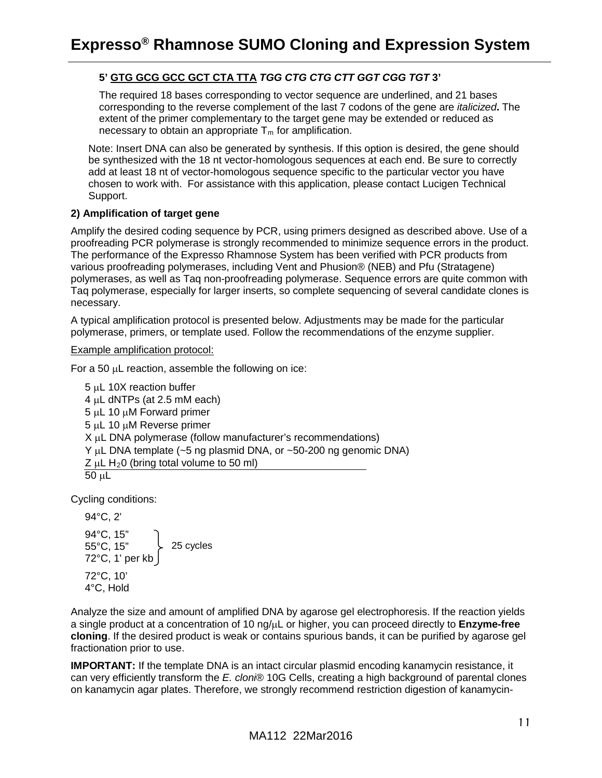#### **5' GTG GCG GCC GCT CTA TTA** *TGG CTG CTG CTT GGT CGG TGT* **3'**

The required 18 bases corresponding to vector sequence are underlined, and 21 bases corresponding to the reverse complement of the last 7 codons of the gene are *italicized***.** The extent of the primer complementary to the target gene may be extended or reduced as necessary to obtain an appropriate  $T_m$  for amplification.

Note: Insert DNA can also be generated by synthesis. If this option is desired, the gene should be synthesized with the 18 nt vector-homologous sequences at each end. Be sure to correctly add at least 18 nt of vector-homologous sequence specific to the particular vector you have chosen to work with. For assistance with this application, please contact Lucigen Technical Support.

#### <span id="page-10-0"></span>**2) Amplification of target gene**

Amplify the desired coding sequence by PCR, using primers designed as described above. Use of a proofreading PCR polymerase is strongly recommended to minimize sequence errors in the product. The performance of the Expresso Rhamnose System has been verified with PCR products from various proofreading polymerases, including Vent and Phusion® (NEB) and Pfu (Stratagene) polymerases, as well as Taq non-proofreading polymerase. Sequence errors are quite common with Taq polymerase, especially for larger inserts, so complete sequencing of several candidate clones is necessary.

A typical amplification protocol is presented below. Adjustments may be made for the particular polymerase, primers, or template used. Follow the recommendations of the enzyme supplier.

#### Example amplification protocol:

For a 50  $\mu$ L reaction, assemble the following on ice:

5 µL 10X reaction buffer 4 µL dNTPs (at 2.5 mM each) 5 µL 10 µM Forward primer 5 µL 10 µM Reverse primer X µL DNA polymerase (follow manufacturer's recommendations) Y µL DNA template (~5 ng plasmid DNA, or ~50-200 ng genomic DNA)  $Z \mu L H_2 0$  (bring total volume to 50 ml)  $50 \mu L$ 

Cycling conditions:

94°C, 2' 94°C, 15" 55°C, 15" 72°C, 1' per kb 72°C, 10' 4°C, Hold 25 cycles

Analyze the size and amount of amplified DNA by agarose gel electrophoresis. If the reaction yields a single product at a concentration of 10 ng/µL or higher, you can proceed directly to **Enzyme-free cloning**. If the desired product is weak or contains spurious bands, it can be purified by agarose gel fractionation prior to use.

**IMPORTANT:** If the template DNA is an intact circular plasmid encoding kanamycin resistance, it can very efficiently transform the *E. cloni*® 10G Cells, creating a high background of parental clones on kanamycin agar plates. Therefore, we strongly recommend restriction digestion of kanamycin-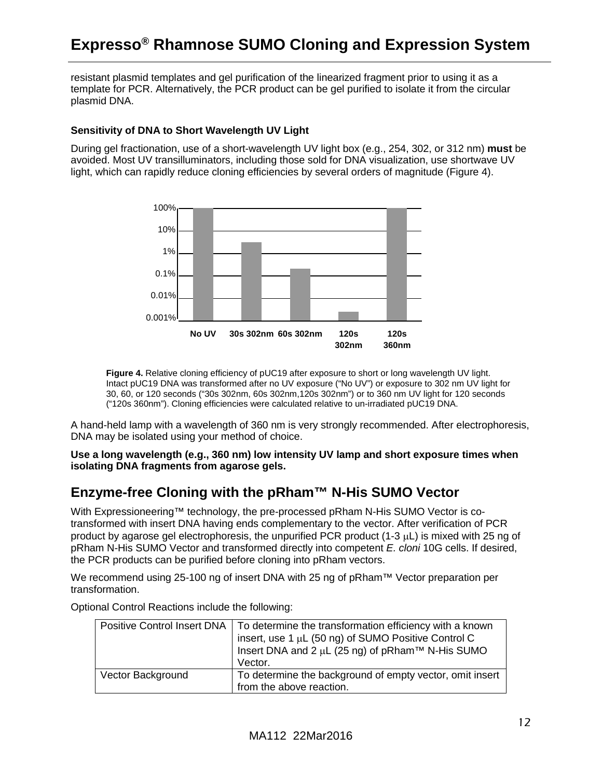resistant plasmid templates and gel purification of the linearized fragment prior to using it as a template for PCR. Alternatively, the PCR product can be gel purified to isolate it from the circular plasmid DNA.

#### <span id="page-11-0"></span>**Sensitivity of DNA to Short Wavelength UV Light**

During gel fractionation, use of a short-wavelength UV light box (e.g., 254, 302, or 312 nm) **must** be avoided. Most UV transilluminators, including those sold for DNA visualization, use shortwave UV light, which can rapidly reduce cloning efficiencies by several orders of magnitude (Figure 4).



**Figure 4.** Relative cloning efficiency of pUC19 after exposure to short or long wavelength UV light. Intact pUC19 DNA was transformed after no UV exposure ("No UV") or exposure to 302 nm UV light for 30, 60, or 120 seconds ("30s 302nm, 60s 302nm,120s 302nm") or to 360 nm UV light for 120 seconds ("120s 360nm"). Cloning efficiencies were calculated relative to un-irradiated pUC19 DNA.

A hand-held lamp with a wavelength of 360 nm is very strongly recommended. After electrophoresis, DNA may be isolated using your method of choice.

**Use a long wavelength (e.g., 360 nm) low intensity UV lamp and short exposure times when isolating DNA fragments from agarose gels.**

### <span id="page-11-1"></span>**Enzyme-free Cloning with the pRham™ N-His SUMO Vector**

With Expressioneering™ technology, the pre-processed pRham N-His SUMO Vector is cotransformed with insert DNA having ends complementary to the vector. After verification of PCR product by agarose gel electrophoresis, the unpurified PCR product (1-3 µL) is mixed with 25 ng of pRham N-His SUMO Vector and transformed directly into competent *E. cloni* 10G cells. If desired, the PCR products can be purified before cloning into pRham vectors.

We recommend using 25-100 ng of insert DNA with 25 ng of pRham™ Vector preparation per transformation.

| <b>Positive Control Insert DNA</b> | To determine the transformation efficiency with a known<br>insert, use 1 µL (50 ng) of SUMO Positive Control C<br>Insert DNA and 2 $\mu$ L (25 ng) of pRham <sup>TM</sup> N-His SUMO<br>Vector. |
|------------------------------------|-------------------------------------------------------------------------------------------------------------------------------------------------------------------------------------------------|
| <b>Vector Background</b>           | To determine the background of empty vector, omit insert<br>from the above reaction.                                                                                                            |

Optional Control Reactions include the following: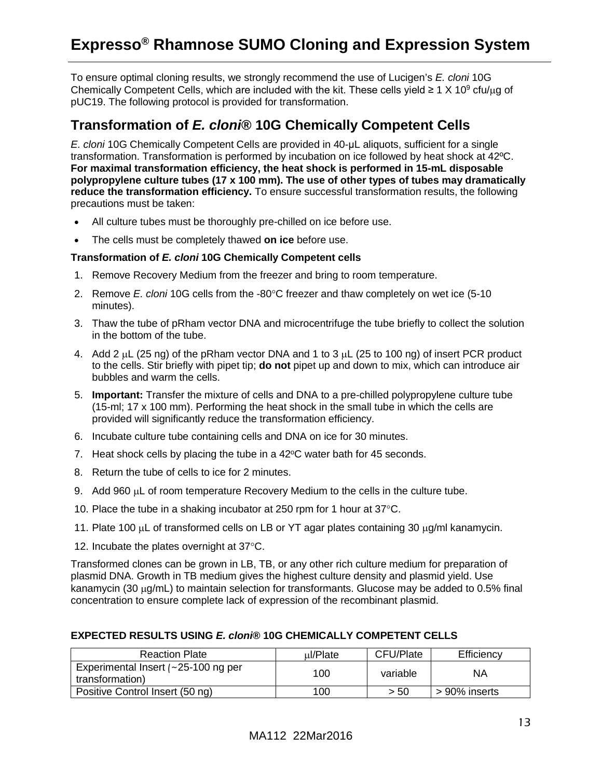To ensure optimal cloning results, we strongly recommend the use of Lucigen's *E. cloni* 10G Chemically Competent Cells, which are included with the kit. These cells yield  $\geq 1 \times 10^9$  cfu/µg of pUC19. The following protocol is provided for transformation.

### <span id="page-12-0"></span>**Transformation of** *E. cloni***® 10G Chemically Competent Cells**

*E. cloni* 10G Chemically Competent Cells are provided in 40-μL aliquots, sufficient for a single transformation. Transformation is performed by incubation on ice followed by heat shock at 42ºC. **For maximal transformation efficiency, the heat shock is performed in 15-mL disposable polypropylene culture tubes (17 x 100 mm). The use of other types of tubes may dramatically reduce the transformation efficiency.** To ensure successful transformation results, the following precautions must be taken:

- All culture tubes must be thoroughly pre-chilled on ice before use.
- The cells must be completely thawed **on ice** before use.

#### **Transformation of** *E. cloni* **10G Chemically Competent cells**

- 1. Remove Recovery Medium from the freezer and bring to room temperature.
- 2. Remove *E. cloni* 10G cells from the -80°C freezer and thaw completely on wet ice (5-10 minutes).
- 3. Thaw the tube of pRham vector DNA and microcentrifuge the tube briefly to collect the solution in the bottom of the tube.
- 4. Add 2 µL (25 ng) of the pRham vector DNA and 1 to 3 µL (25 to 100 ng) of insert PCR product to the cells. Stir briefly with pipet tip; **do not** pipet up and down to mix, which can introduce air bubbles and warm the cells.
- 5. **Important:** Transfer the mixture of cells and DNA to a pre-chilled polypropylene culture tube (15-ml; 17 x 100 mm). Performing the heat shock in the small tube in which the cells are provided will significantly reduce the transformation efficiency.
- 6. Incubate culture tube containing cells and DNA on ice for 30 minutes.
- 7. Heat shock cells by placing the tube in a  $42^{\circ}$ C water bath for 45 seconds.
- 8. Return the tube of cells to ice for 2 minutes.
- 9. Add 960 µL of room temperature Recovery Medium to the cells in the culture tube.
- 10. Place the tube in a shaking incubator at 250 rpm for 1 hour at 37°C.
- 11. Plate 100 µL of transformed cells on LB or YT agar plates containing 30 µg/ml kanamycin.
- 12. Incubate the plates overnight at 37°C.

Transformed clones can be grown in LB, TB, or any other rich culture medium for preparation of plasmid DNA. Growth in TB medium gives the highest culture density and plasmid yield. Use kanamycin (30  $\mu$ g/mL) to maintain selection for transformants. Glucose may be added to 0.5% final concentration to ensure complete lack of expression of the recombinant plasmid.

#### **EXPECTED RESULTS USING** *E. cloni***® 10G CHEMICALLY COMPETENT CELLS**

| <b>Reaction Plate</b>                                       | ul/Plate | CFU/Plate | Efficiency    |
|-------------------------------------------------------------|----------|-----------|---------------|
| Experimental Insert $\sim$ 25-100 ng per<br>transformation) | 100      | variable  | ΝA            |
| Positive Control Insert (50 ng)                             | 100      | > 50      | > 90% inserts |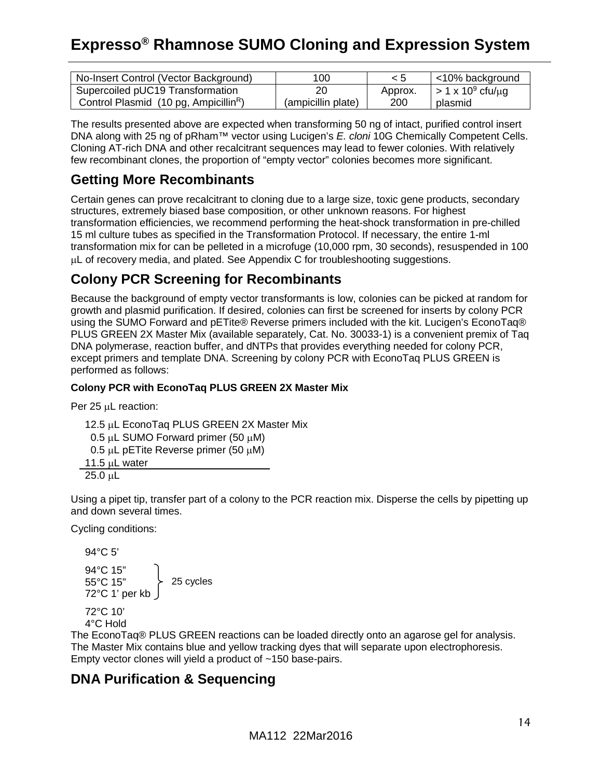| No-Insert Control (Vector Background)             | 100                |         | <10% background                |
|---------------------------------------------------|--------------------|---------|--------------------------------|
| Supercoiled pUC19 Transformation                  | 20                 | Approx. | $>$ 1 x 10 <sup>9</sup> cfu/µg |
| Control Plasmid (10 pg, Ampicillin <sup>R</sup> ) | (ampicillin plate) | 200     | plasmid                        |

The results presented above are expected when transforming 50 ng of intact, purified control insert DNA along with 25 ng of pRham™ vector using Lucigen's *E. cloni* 10G Chemically Competent Cells. Cloning AT-rich DNA and other recalcitrant sequences may lead to fewer colonies. With relatively few recombinant clones, the proportion of "empty vector" colonies becomes more significant.

### <span id="page-13-0"></span>**Getting More Recombinants**

Certain genes can prove recalcitrant to cloning due to a large size, toxic gene products, secondary structures, extremely biased base composition, or other unknown reasons. For highest transformation efficiencies, we recommend performing the heat-shock transformation in pre-chilled 15 ml culture tubes as specified in the Transformation Protocol. If necessary, the entire 1-ml transformation mix for can be pelleted in a microfuge (10,000 rpm, 30 seconds), resuspended in 100 µL of recovery media, and plated. See Appendix C for troubleshooting suggestions.

### <span id="page-13-1"></span>**Colony PCR Screening for Recombinants**

Because the background of empty vector transformants is low, colonies can be picked at random for growth and plasmid purification. If desired, colonies can first be screened for inserts by colony PCR using the SUMO Forward and pETite® Reverse primers included with the kit. Lucigen's EconoTaq® PLUS GREEN 2X Master Mix (available separately, Cat. No. 30033-1) is a convenient premix of Taq DNA polymerase, reaction buffer, and dNTPs that provides everything needed for colony PCR, except primers and template DNA. Screening by colony PCR with EconoTaq PLUS GREEN is performed as follows:

#### **Colony PCR with EconoTaq PLUS GREEN 2X Master Mix**

Per 25 µL reaction:

12.5 µL EconoTaq PLUS GREEN 2X Master Mix 0.5  $\mu$ L SUMO Forward primer (50  $\mu$ M) 0.5  $\mu$ L pETite Reverse primer (50  $\mu$ M) 11.5  $\mu$ L water 25.0 µL

Using a pipet tip, transfer part of a colony to the PCR reaction mix. Disperse the cells by pipetting up and down several times.

Cycling conditions:

```
94°C 5'
94°C 15"
55°C 15"
72°C 1' per kb
                   25 cycles
```
72°C 10' 4°C Hold

The EconoTaq® PLUS GREEN reactions can be loaded directly onto an agarose gel for analysis. The Master Mix contains blue and yellow tracking dyes that will separate upon electrophoresis. Empty vector clones will yield a product of ~150 base-pairs.

### <span id="page-13-2"></span>**DNA Purification & Sequencing**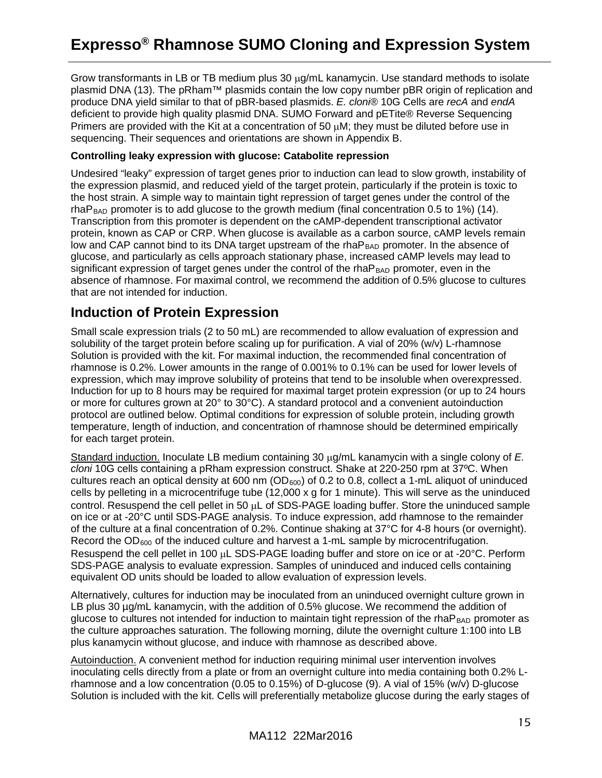Grow transformants in LB or TB medium plus 30  $\mu q/mL$  kanamycin. Use standard methods to isolate plasmid DNA (13). The pRham™ plasmids contain the low copy number pBR origin of replication and produce DNA yield similar to that of pBR-based plasmids. *E. cloni*® 10G Cells are *recA* and *endA* deficient to provide high quality plasmid DNA. SUMO Forward and pETite® Reverse Sequencing Primers are provided with the Kit at a concentration of 50  $\mu$ M; they must be diluted before use in sequencing. Their sequences and orientations are shown in Appendix B.

#### **Controlling leaky expression with glucose: Catabolite repression**

Undesired "leaky" expression of target genes prior to induction can lead to slow growth, instability of the expression plasmid, and reduced yield of the target protein, particularly if the protein is toxic to the host strain. A simple way to maintain tight repression of target genes under the control of the rhaP<sub>BAD</sub> promoter is to add glucose to the growth medium (final concentration 0.5 to 1%) (14). Transcription from this promoter is dependent on the cAMP-dependent transcriptional activator protein, known as CAP or CRP. When glucose is available as a carbon source, cAMP levels remain low and CAP cannot bind to its DNA target upstream of the rhaP<sub>BAD</sub> promoter. In the absence of glucose, and particularly as cells approach stationary phase, increased cAMP levels may lead to significant expression of target genes under the control of the rha $P<sub>BAD</sub>$  promoter, even in the absence of rhamnose. For maximal control, we recommend the addition of 0.5% glucose to cultures that are not intended for induction.

### <span id="page-14-0"></span>**Induction of Protein Expression**

Small scale expression trials (2 to 50 mL) are recommended to allow evaluation of expression and solubility of the target protein before scaling up for purification. A vial of 20% (w/v) L-rhamnose Solution is provided with the kit. For maximal induction, the recommended final concentration of rhamnose is 0.2%. Lower amounts in the range of 0.001% to 0.1% can be used for lower levels of expression, which may improve solubility of proteins that tend to be insoluble when overexpressed. Induction for up to 8 hours may be required for maximal target protein expression (or up to 24 hours or more for cultures grown at 20° to 30°C). A standard protocol and a convenient autoinduction protocol are outlined below. Optimal conditions for expression of soluble protein, including growth temperature, length of induction, and concentration of rhamnose should be determined empirically for each target protein.

Standard induction. Inoculate LB medium containing 30 µg/mL kanamycin with a single colony of *E. cloni* 10G cells containing a pRham expression construct. Shake at 220-250 rpm at 37ºC. When cultures reach an optical density at 600 nm (OD<sub>600</sub>) of 0.2 to 0.8, collect a 1-mL aliquot of uninduced cells by pelleting in a microcentrifuge tube (12,000 x g for 1 minute). This will serve as the uninduced control. Resuspend the cell pellet in 50 µL of SDS-PAGE loading buffer. Store the uninduced sample on ice or at -20°C until SDS-PAGE analysis. To induce expression, add rhamnose to the remainder of the culture at a final concentration of 0.2%. Continue shaking at 37°C for 4-8 hours (or overnight). Record the OD<sub>600</sub> of the induced culture and harvest a 1-mL sample by microcentrifugation. Resuspend the cell pellet in 100 µL SDS-PAGE loading buffer and store on ice or at -20°C. Perform SDS-PAGE analysis to evaluate expression. Samples of uninduced and induced cells containing equivalent OD units should be loaded to allow evaluation of expression levels.

Alternatively, cultures for induction may be inoculated from an uninduced overnight culture grown in LB plus 30  $\mu q/m$ L kanamycin, with the addition of 0.5% glucose. We recommend the addition of glucose to cultures not intended for induction to maintain tight repression of the rha $P_{BAD}$  promoter as the culture approaches saturation. The following morning, dilute the overnight culture 1:100 into LB plus kanamycin without glucose, and induce with rhamnose as described above.

Autoinduction. A convenient method for induction requiring minimal user intervention involves inoculating cells directly from a plate or from an overnight culture into media containing both 0.2% Lrhamnose and a low concentration (0.05 to 0.15%) of D-glucose (9). A vial of 15% (w/v) D-glucose Solution is included with the kit. Cells will preferentially metabolize glucose during the early stages of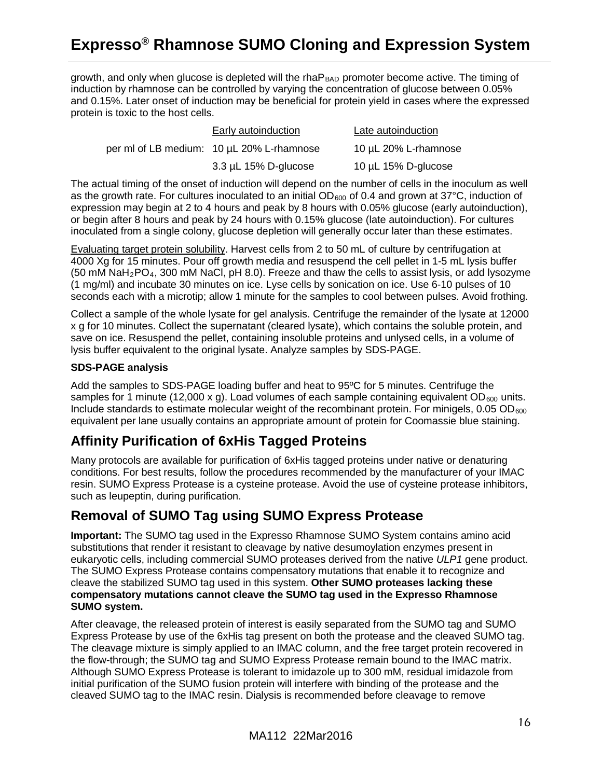growth, and only when glucose is depleted will the rha $P<sub>BAD</sub>$  promoter become active. The timing of induction by rhamnose can be controlled by varying the concentration of glucose between 0.05% and 0.15%. Later onset of induction may be beneficial for protein yield in cases where the expressed protein is toxic to the host cells.

| Early autoinduction                       | Late autoinduction   |  |  |  |  |
|-------------------------------------------|----------------------|--|--|--|--|
| per ml of LB medium: 10 µL 20% L-rhamnose | 10 µL 20% L-rhamnose |  |  |  |  |
| 3.3 µL 15% D-glucose                      | 10 µL 15% D-glucose  |  |  |  |  |

The actual timing of the onset of induction will depend on the number of cells in the inoculum as well as the growth rate. For cultures inoculated to an initial  $OD_{600}$  of 0.4 and grown at 37°C, induction of expression may begin at 2 to 4 hours and peak by 8 hours with 0.05% glucose (early autoinduction), or begin after 8 hours and peak by 24 hours with 0.15% glucose (late autoinduction). For cultures inoculated from a single colony, glucose depletion will generally occur later than these estimates.

Evaluating target protein solubility. Harvest cells from 2 to 50 mL of culture by centrifugation at 4000 Xg for 15 minutes. Pour off growth media and resuspend the cell pellet in 1-5 mL lysis buffer  $(50 \text{ mM } \text{NaH}_2\text{PO}_4, 300 \text{ mM } \text{NaCl}, \text{pH } 8.0)$ . Freeze and thaw the cells to assist lysis, or add lysozyme (1 mg/ml) and incubate 30 minutes on ice. Lyse cells by sonication on ice. Use 6-10 pulses of 10 seconds each with a microtip; allow 1 minute for the samples to cool between pulses. Avoid frothing.

Collect a sample of the whole lysate for gel analysis. Centrifuge the remainder of the lysate at 12000 x g for 10 minutes. Collect the supernatant (cleared lysate), which contains the soluble protein, and save on ice. Resuspend the pellet, containing insoluble proteins and unlysed cells, in a volume of lysis buffer equivalent to the original lysate. Analyze samples by SDS-PAGE.

#### **SDS-PAGE analysis**

Add the samples to SDS-PAGE loading buffer and heat to 95ºC for 5 minutes. Centrifuge the samples for 1 minute (12,000 x g). Load volumes of each sample containing equivalent OD<sub>600</sub> units. Include standards to estimate molecular weight of the recombinant protein. For minigels,  $0.05$  OD<sub>600</sub> equivalent per lane usually contains an appropriate amount of protein for Coomassie blue staining.

### <span id="page-15-0"></span>**Affinity Purification of 6xHis Tagged Proteins**

Many protocols are available for purification of 6xHis tagged proteins under native or denaturing conditions. For best results, follow the procedures recommended by the manufacturer of your IMAC resin. SUMO Express Protease is a cysteine protease. Avoid the use of cysteine protease inhibitors, such as leupeptin, during purification.

### <span id="page-15-1"></span>**Removal of SUMO Tag using SUMO Express Protease**

**Important:** The SUMO tag used in the Expresso Rhamnose SUMO System contains amino acid substitutions that render it resistant to cleavage by native desumoylation enzymes present in eukaryotic cells, including commercial SUMO proteases derived from the native *ULP1* gene product. The SUMO Express Protease contains compensatory mutations that enable it to recognize and cleave the stabilized SUMO tag used in this system. **Other SUMO proteases lacking these compensatory mutations cannot cleave the SUMO tag used in the Expresso Rhamnose SUMO system.**

After cleavage, the released protein of interest is easily separated from the SUMO tag and SUMO Express Protease by use of the 6xHis tag present on both the protease and the cleaved SUMO tag. The cleavage mixture is simply applied to an IMAC column, and the free target protein recovered in the flow-through; the SUMO tag and SUMO Express Protease remain bound to the IMAC matrix. Although SUMO Express Protease is tolerant to imidazole up to 300 mM, residual imidazole from initial purification of the SUMO fusion protein will interfere with binding of the protease and the cleaved SUMO tag to the IMAC resin. Dialysis is recommended before cleavage to remove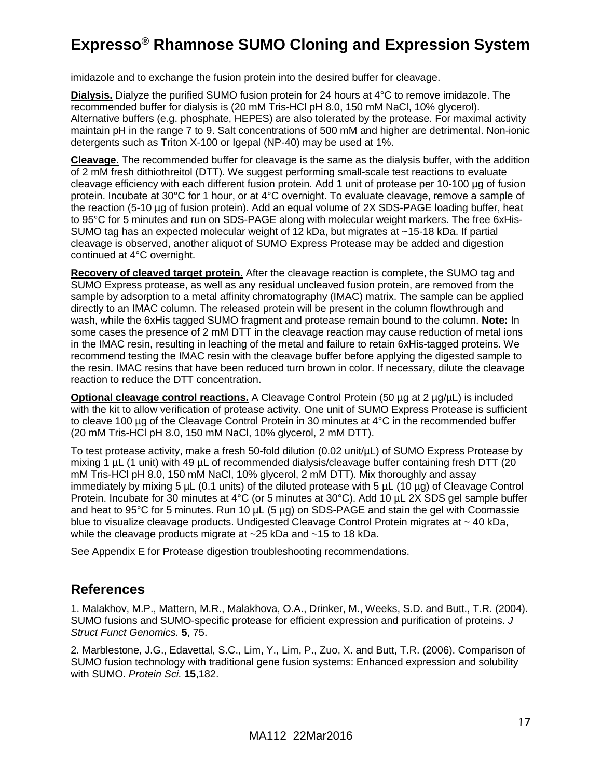imidazole and to exchange the fusion protein into the desired buffer for cleavage.

**Dialysis.** Dialyze the purified SUMO fusion protein for 24 hours at 4°C to remove imidazole. The recommended buffer for dialysis is (20 mM Tris-HCl pH 8.0, 150 mM NaCl, 10% glycerol). Alternative buffers (e.g. phosphate, HEPES) are also tolerated by the protease. For maximal activity maintain pH in the range 7 to 9. Salt concentrations of 500 mM and higher are detrimental. Non-ionic detergents such as Triton X-100 or Igepal (NP-40) may be used at 1%.

**Cleavage.** The recommended buffer for cleavage is the same as the dialysis buffer, with the addition of 2 mM fresh dithiothreitol (DTT). We suggest performing small-scale test reactions to evaluate cleavage efficiency with each different fusion protein. Add 1 unit of protease per 10-100 µg of fusion protein. Incubate at 30°C for 1 hour, or at 4°C overnight. To evaluate cleavage, remove a sample of the reaction (5-10 µg of fusion protein). Add an equal volume of 2X SDS-PAGE loading buffer, heat to 95°C for 5 minutes and run on SDS-PAGE along with molecular weight markers. The free 6xHis-SUMO tag has an expected molecular weight of 12 kDa, but migrates at ~15-18 kDa. If partial cleavage is observed, another aliquot of SUMO Express Protease may be added and digestion continued at 4°C overnight.

**Recovery of cleaved target protein.** After the cleavage reaction is complete, the SUMO tag and SUMO Express protease, as well as any residual uncleaved fusion protein, are removed from the sample by adsorption to a metal affinity chromatography (IMAC) matrix. The sample can be applied directly to an IMAC column. The released protein will be present in the column flowthrough and wash, while the 6xHis tagged SUMO fragment and protease remain bound to the column. **Note:** In some cases the presence of 2 mM DTT in the cleavage reaction may cause reduction of metal ions in the IMAC resin, resulting in leaching of the metal and failure to retain 6xHis-tagged proteins. We recommend testing the IMAC resin with the cleavage buffer before applying the digested sample to the resin. IMAC resins that have been reduced turn brown in color. If necessary, dilute the cleavage reaction to reduce the DTT concentration.

**Optional cleavage control reactions.** A Cleavage Control Protein (50 µg at 2 µg/µL) is included with the kit to allow verification of protease activity. One unit of SUMO Express Protease is sufficient to cleave 100 µg of the Cleavage Control Protein in 30 minutes at 4°C in the recommended buffer (20 mM Tris-HCl pH 8.0, 150 mM NaCl, 10% glycerol, 2 mM DTT).

To test protease activity, make a fresh 50-fold dilution (0.02 unit/µL) of SUMO Express Protease by mixing 1  $\mu$ L (1 unit) with 49  $\mu$ L of recommended dialysis/cleavage buffer containing fresh DTT (20 mM Tris-HCl pH 8.0, 150 mM NaCl, 10% glycerol, 2 mM DTT). Mix thoroughly and assay immediately by mixing 5  $\mu$ L (0.1 units) of the diluted protease with 5  $\mu$ L (10  $\mu$ g) of Cleavage Control Protein. Incubate for 30 minutes at 4°C (or 5 minutes at 30°C). Add 10 µL 2X SDS gel sample buffer and heat to 95°C for 5 minutes. Run 10 µL (5 µg) on SDS-PAGE and stain the gel with Coomassie blue to visualize cleavage products. Undigested Cleavage Control Protein migrates at ~ 40 kDa, while the cleavage products migrate at ~25 kDa and ~15 to 18 kDa.

See Appendix E for Protease digestion troubleshooting recommendations.

### <span id="page-16-0"></span>**References**

1. Malakhov, M.P., Mattern, M.R., Malakhova, O.A., Drinker, M., Weeks, S.D. and Butt., T.R. (2004). SUMO fusions and SUMO-specific protease for efficient expression and purification of proteins. *J Struct Funct Genomics.* **5**, 75.

2. Marblestone, J.G., Edavettal, S.C., Lim, Y., Lim, P., Zuo, X. and Butt, T.R. (2006). Comparison of SUMO fusion technology with traditional gene fusion systems: Enhanced expression and solubility with SUMO. *Protein Sci.* **15**,182.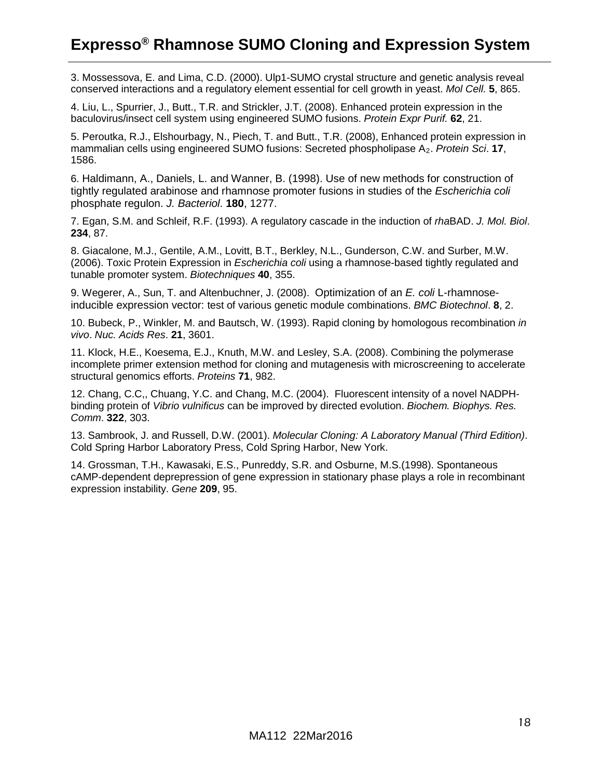3. Mossessova, E. and Lima, C.D. (2000). Ulp1-SUMO crystal structure and genetic analysis reveal conserved interactions and a regulatory element essential for cell growth in yeast. *Mol Cell.* **5**, 865.

4. Liu, L., Spurrier, J., Butt., T.R. and Strickler, J.T. (2008). Enhanced protein expression in the baculovirus/insect cell system using engineered SUMO fusions. *Protein Expr Purif.* **62**, 21.

5. Peroutka, R.J., Elshourbagy, N., Piech, T. and Butt., T.R. (2008), Enhanced protein expression in mammalian cells using engineered SUMO fusions: Secreted phospholipase A2. *Protein Sci*. **17**, 1586.

6. Haldimann, A., Daniels, L. and Wanner, B. (1998). Use of new methods for construction of tightly regulated arabinose and rhamnose promoter fusions in studies of the *Escherichia coli*  phosphate regulon. *J. Bacteriol*. **180**, 1277.

7. Egan, S.M. and Schleif, R.F. (1993). A regulatory cascade in the induction of *rha*BAD. *J. Mol. Biol*. **234**, 87.

8. Giacalone, M.J., Gentile, A.M., Lovitt, B.T., Berkley, N.L., Gunderson, C.W. and Surber, M.W. (2006). Toxic Protein Expression in *Escherichia coli* using a rhamnose-based tightly regulated and tunable promoter system. *Biotechniques* **40**, 355.

9. Wegerer, A., Sun, T. and Altenbuchner, J. (2008). Optimization of an *E. coli* L-rhamnoseinducible expression vector: test of various genetic module combinations. *BMC Biotechnol*. **8**, 2.

10. Bubeck, P., Winkler, M. and Bautsch, W. (1993). Rapid cloning by homologous recombination *in vivo*. *Nuc. Acids Res*. **21**, 3601.

11. Klock, H.E., Koesema, E.J., Knuth, M.W. and Lesley, S.A. (2008). Combining the polymerase incomplete primer extension method for cloning and mutagenesis with microscreening to accelerate structural genomics efforts. *Proteins* **71**, 982.

12. Chang, C.C,, Chuang, Y.C. and Chang, M.C. (2004). Fluorescent intensity of a novel NADPHbinding protein of *Vibrio vulnificus* can be improved by directed evolution. *Biochem. Biophys. Res. Comm*. **322**, 303.

13. Sambrook, J. and Russell, D.W. (2001). *Molecular Cloning: A Laboratory Manual (Third Edition)*. Cold Spring Harbor Laboratory Press, Cold Spring Harbor, New York.

14. Grossman, T.H., Kawasaki, E.S., Punreddy, S.R. and Osburne, M.S.(1998). Spontaneous cAMP-dependent deprepression of gene expression in stationary phase plays a role in recombinant expression instability. *Gene* **209**, 95.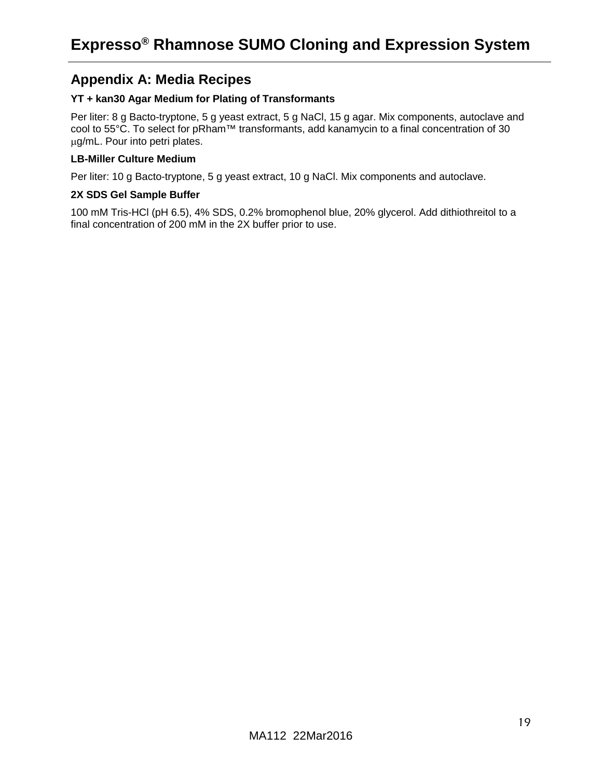### <span id="page-18-0"></span>**Appendix A: Media Recipes**

#### **YT + kan30 Agar Medium for Plating of Transformants**

Per liter: 8 g Bacto-tryptone, 5 g yeast extract, 5 g NaCl, 15 g agar. Mix components, autoclave and cool to 55°C. To select for pRham™ transformants, add kanamycin to a final concentration of 30 µg/mL. Pour into petri plates.

#### **LB-Miller Culture Medium**

Per liter: 10 g Bacto-tryptone, 5 g yeast extract, 10 g NaCl. Mix components and autoclave.

#### **2X SDS Gel Sample Buffer**

100 mM Tris-HCl (pH 6.5), 4% SDS, 0.2% bromophenol blue, 20% glycerol. Add dithiothreitol to a final concentration of 200 mM in the 2X buffer prior to use.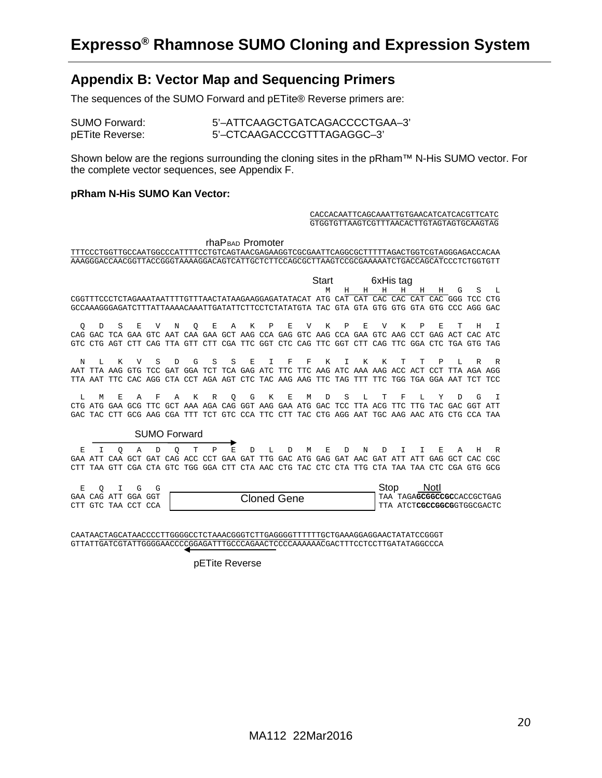### <span id="page-19-0"></span>**Appendix B: Vector Map and Sequencing Primers**

The sequences of the SUMO Forward and pETite® Reverse primers are:

| SUMO Forward:   |  |
|-----------------|--|
| pETite Reverse: |  |

5'-ATTCAAGCTGATCAGACCCCTGAA-3' 5'-CTCAAGACCCGTTTAGAGGC-3'

Shown below are the regions surrounding the cloning sites in the pRham™ N-His SUMO vector. For the complete vector sequences, see Appendix F.

#### **pRham N-His SUMO Kan Vector:**

#### CACCACAATTCAGCAAATTGTGAACATCATCACGTTCATC GTGGTGTTAAGTCGTTTAACACTTGTAGTAGTGCAAGTAG

| rhaP <sub>BAD</sub> Promoter<br>TTTCCCTGGTTGCCAATGGCCCATTTTCCTGTCAGTAACGAGAAGGTCGCGAATTCAGGCGCTTTTTAGACTGGTCGTAGGGAGACCACAA<br>AAAGGGACCAACGGTTACCGGGTAAAAGGACAGTCATTGCTCTTCCAGCGCTTAAGTCCGCGAAAAATCTGACCAGCATCCCTCTGGTGTT |    |                                                         |             |                     |     |             |   |         |                     |   |   |   |                                                                                 |   |   |           |   |     |         |    |                                                                                             |      |
|----------------------------------------------------------------------------------------------------------------------------------------------------------------------------------------------------------------------------|----|---------------------------------------------------------|-------------|---------------------|-----|-------------|---|---------|---------------------|---|---|---|---------------------------------------------------------------------------------|---|---|-----------|---|-----|---------|----|---------------------------------------------------------------------------------------------|------|
|                                                                                                                                                                                                                            |    |                                                         |             |                     |     |             |   |         |                     |   |   |   |                                                                                 |   |   |           |   |     |         |    |                                                                                             |      |
|                                                                                                                                                                                                                            |    |                                                         |             |                     |     |             |   |         |                     |   |   |   | Start                                                                           |   |   | 6xHis tag |   |     |         |    |                                                                                             |      |
|                                                                                                                                                                                                                            |    |                                                         |             |                     |     |             |   |         |                     |   |   |   | M                                                                               | Н | H | Н         | H | Н   | H       | G  | S                                                                                           | т.   |
|                                                                                                                                                                                                                            |    | CGGTTTCCCTCTAGAAATAATTTTGTTTAACTATAAGAAGGAGATATACAT ATG |             |                     |     |             |   |         |                     |   |   |   |                                                                                 |   |   |           |   |     |         |    | CAT CAT CAC CAC CAT CAC GGG TCC                                                             | CTG  |
|                                                                                                                                                                                                                            |    |                                                         |             |                     |     |             |   |         |                     |   |   |   |                                                                                 |   |   |           |   |     |         |    | GCCAAAGGGAGATCTTTATTAAAACAAATTGATATTCTTCCTCTATATGTA TAC GTA GTA GTG GTG GTA GTG CCC AGG GAC |      |
|                                                                                                                                                                                                                            | D  | S                                                       | Е           | V                   | N   |             | E | A       | K                   | P | E | V | K                                                                               | P | E | V         | Κ | Р   | F.      | Τ  | Ħ                                                                                           | т    |
| O                                                                                                                                                                                                                          |    | CAG GAC TCA GAA GTC                                     |             |                     | AAT | O           |   |         |                     |   |   |   | CAA GAA GCT AAG CCA GAG GTC AAG CCA GAA GTC AAG CCT                             |   |   |           |   |     | GAG ACT |    | CAC ATC                                                                                     |      |
| GTC.                                                                                                                                                                                                                       |    |                                                         |             |                     |     |             |   |         |                     |   |   |   |                                                                                 |   |   |           |   |     |         |    | CTG AGT CTT CAG TTA GTT CTT CGA TTC GGT CTC CAG TTC GGT CTT CAG TTC GGA CTC TGA GTG TAG     |      |
|                                                                                                                                                                                                                            |    |                                                         |             |                     |     |             |   |         |                     |   |   |   |                                                                                 |   |   |           |   |     |         |    |                                                                                             |      |
| N                                                                                                                                                                                                                          | т. | K                                                       | ΔT          | S                   | D   | G           | S | S       | Ε                   | T | F | F | K                                                                               | T | K | K         | т | Ͳ   | P       | т. | R                                                                                           | R    |
| AAT                                                                                                                                                                                                                        |    |                                                         |             |                     |     |             |   |         |                     |   |   |   | TTA AAG GTG TCC GAT GGA TCT TCA GAG ATC TTC TTC AAG ATC AAA AAG ACC ACT CCT TTA |   |   |           |   |     |         |    | AGA AGG                                                                                     |      |
|                                                                                                                                                                                                                            |    |                                                         |             |                     |     |             |   |         |                     |   |   |   |                                                                                 |   |   |           |   |     |         |    | TTA AAT TTC CAC AGG CTA CCT AGA AGT CTC TAC AAG AAG TTC TAG TTT TTC TGG TGA GGA AAT TCT TCC |      |
|                                                                                                                                                                                                                            |    |                                                         |             |                     |     |             |   |         |                     |   |   |   |                                                                                 |   |   |           |   |     |         |    |                                                                                             |      |
| L                                                                                                                                                                                                                          | м  | E.                                                      | A           | F                   | A   | К           | R | $\circ$ | G                   | K | Е | M | D                                                                               | S | L | т         | F | т.  | Y       | D  | G                                                                                           | T    |
|                                                                                                                                                                                                                            |    | CTG ATG GAA GCG                                         |             | TTC.                |     |             |   |         |                     |   |   |   | GCT AAA AGA CAG GGT AAG GAA ATG GAC TCC TTA ACG TTC                             |   |   |           |   | TTG | TAC GAC |    | GGT                                                                                         | ATT  |
|                                                                                                                                                                                                                            |    |                                                         |             |                     |     |             |   |         |                     |   |   |   |                                                                                 |   |   |           |   |     |         |    | GAC TAC CTT GCG AAG CGA TTT TCT GTC CCA TTC CTT TAC CTG AGG AAT TGC AAG AAC ATG CTG CCA TAA |      |
|                                                                                                                                                                                                                            |    |                                                         |             |                     |     |             |   |         |                     |   |   |   |                                                                                 |   |   |           |   |     |         |    |                                                                                             |      |
|                                                                                                                                                                                                                            |    |                                                         |             | <b>SUMO Forward</b> |     |             |   |         |                     |   |   |   |                                                                                 |   |   |           |   |     |         |    |                                                                                             |      |
| E                                                                                                                                                                                                                          | т  | O                                                       | A           | D                   | O   | т           | P | Е       | D                   | L | D | M | Е                                                                               | D | N | Ð         | т |     | E.      | А  | H                                                                                           | R    |
| GAA ATT                                                                                                                                                                                                                    |    |                                                         | CAA GCT GAT |                     |     | CAG ACC CCT |   |         | GAA GAT TTG GAC ATG |   |   |   | GAG GAT AAC GAT ATT ATT                                                         |   |   |           |   |     | GAG GCT |    | CAC                                                                                         | CGC. |
|                                                                                                                                                                                                                            |    |                                                         |             |                     |     |             |   |         |                     |   |   |   |                                                                                 |   |   |           |   |     |         |    | TAA GTT CGA CTA GTC TGG GGA CTT CTA AAC CTG TAC CTC CTA TTG CTA TAA TAA CTC CGA GTG GCG     |      |
|                                                                                                                                                                                                                            |    |                                                         |             |                     |     |             |   |         |                     |   |   |   |                                                                                 |   |   |           |   |     |         |    |                                                                                             |      |
| E                                                                                                                                                                                                                          | O  | T                                                       | G           | G                   |     |             |   |         |                     |   |   |   |                                                                                 |   |   | Stop      |   |     | Notl    |    |                                                                                             |      |

|  |  |                     |             | oluu | <b>INULL</b>                          |
|--|--|---------------------|-------------|------|---------------------------------------|
|  |  | GAA CAG ATT GGA GGT | Cloned Gene |      | TAA TAGA <b>GCGGCCGC</b> CACCGCTGAG   |
|  |  | CTT GTC TAA CCT CCA |             |      | I TTA ATCT <b>CGCCGGCG</b> GTGGCGACTC |
|  |  |                     |             |      |                                       |

CAATAACTAGCATAACCCCTTGGGGCCTCTAAACGGGTCTTGAGGGGTTTTTTGCTGAAAGGAGGAACTATATCCGGGT GTTATTGATCGTATTGGGGAACCCCGGAGATTTGCCCAGAACTCCCCAAAAAACGACTTTCCTCCTTGATATAGGCCCA

pETite Reverse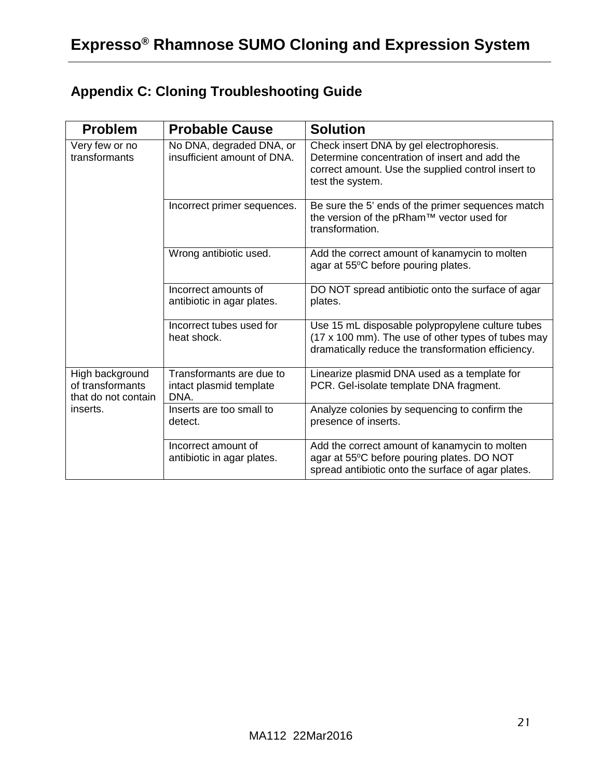# <span id="page-20-0"></span>**Appendix C: Cloning Troubleshooting Guide**

| <b>Problem</b>                                             | <b>Probable Cause</b>                                       | <b>Solution</b>                                                                                                                                                     |
|------------------------------------------------------------|-------------------------------------------------------------|---------------------------------------------------------------------------------------------------------------------------------------------------------------------|
| Very few or no<br>transformants                            | No DNA, degraded DNA, or<br>insufficient amount of DNA.     | Check insert DNA by gel electrophoresis.<br>Determine concentration of insert and add the<br>correct amount. Use the supplied control insert to<br>test the system. |
|                                                            | Incorrect primer sequences.                                 | Be sure the 5' ends of the primer sequences match<br>the version of the pRham™ vector used for<br>transformation.                                                   |
|                                                            | Wrong antibiotic used.                                      | Add the correct amount of kanamycin to molten<br>agar at 55°C before pouring plates.                                                                                |
|                                                            | Incorrect amounts of<br>antibiotic in agar plates.          | DO NOT spread antibiotic onto the surface of agar<br>plates.                                                                                                        |
|                                                            | Incorrect tubes used for<br>heat shock.                     | Use 15 mL disposable polypropylene culture tubes<br>(17 x 100 mm). The use of other types of tubes may<br>dramatically reduce the transformation efficiency.        |
| High background<br>of transformants<br>that do not contain | Transformants are due to<br>intact plasmid template<br>DNA. | Linearize plasmid DNA used as a template for<br>PCR. Gel-isolate template DNA fragment.                                                                             |
| inserts.                                                   | Inserts are too small to<br>detect.                         | Analyze colonies by sequencing to confirm the<br>presence of inserts.                                                                                               |
|                                                            | Incorrect amount of<br>antibiotic in agar plates.           | Add the correct amount of kanamycin to molten<br>agar at 55°C before pouring plates. DO NOT<br>spread antibiotic onto the surface of agar plates.                   |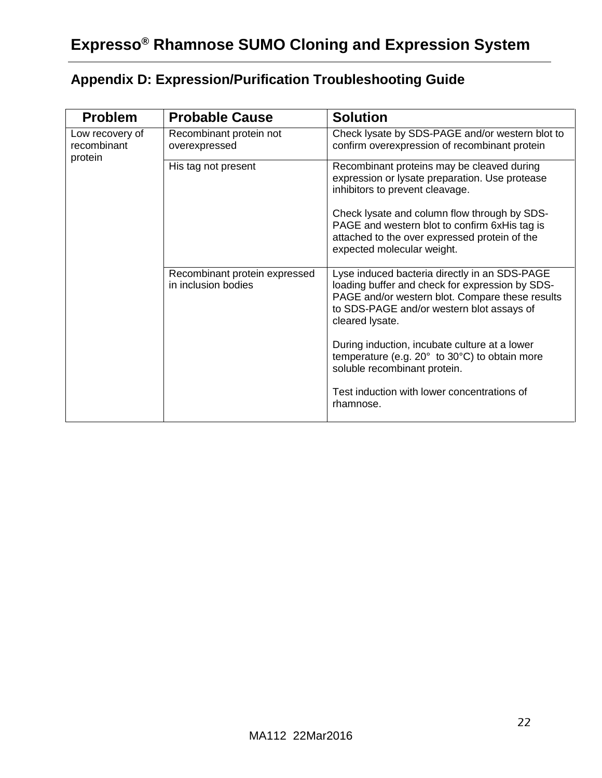<span id="page-21-0"></span>

| <b>Appendix D: Expression/Purification Troubleshooting Guide</b> |  |
|------------------------------------------------------------------|--|
|------------------------------------------------------------------|--|

| <b>Problem</b>                            | <b>Probable Cause</b>                                | <b>Solution</b>                                                                                                                                                                                                     |
|-------------------------------------------|------------------------------------------------------|---------------------------------------------------------------------------------------------------------------------------------------------------------------------------------------------------------------------|
| Low recovery of<br>recombinant<br>protein | Recombinant protein not<br>overexpressed             | Check lysate by SDS-PAGE and/or western blot to<br>confirm overexpression of recombinant protein                                                                                                                    |
|                                           | His tag not present                                  | Recombinant proteins may be cleaved during<br>expression or lysate preparation. Use protease<br>inhibitors to prevent cleavage.                                                                                     |
|                                           |                                                      | Check lysate and column flow through by SDS-<br>PAGE and western blot to confirm 6xHis tag is<br>attached to the over expressed protein of the<br>expected molecular weight.                                        |
|                                           | Recombinant protein expressed<br>in inclusion bodies | Lyse induced bacteria directly in an SDS-PAGE<br>loading buffer and check for expression by SDS-<br>PAGE and/or western blot. Compare these results<br>to SDS-PAGE and/or western blot assays of<br>cleared lysate. |
|                                           |                                                      | During induction, incubate culture at a lower<br>temperature (e.g. 20° to 30°C) to obtain more<br>soluble recombinant protein.                                                                                      |
|                                           |                                                      | Test induction with lower concentrations of<br>rhamnose.                                                                                                                                                            |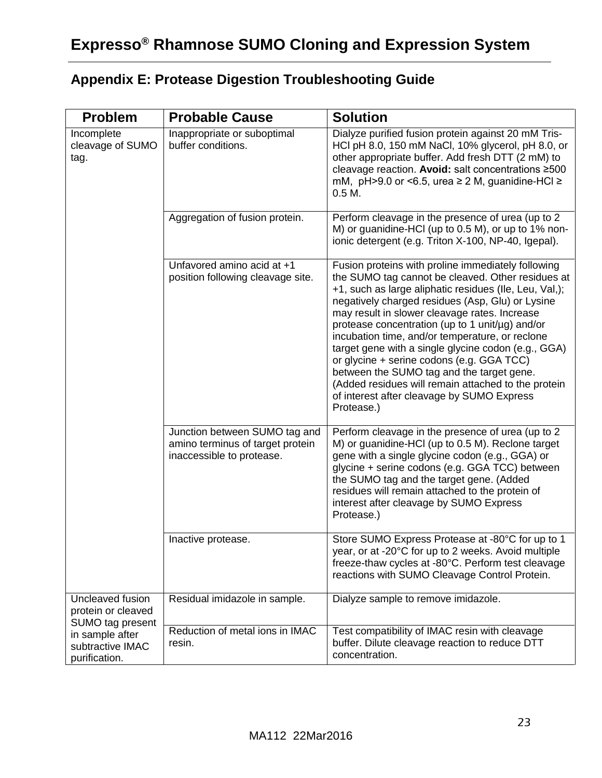<span id="page-22-0"></span>

| <b>Problem</b>                                             | <b>Probable Cause</b>                                                                          | <b>Solution</b>                                                                                                                                                                                                                                                                                                                                                                                                                                                                                                                                                                                                                                  |
|------------------------------------------------------------|------------------------------------------------------------------------------------------------|--------------------------------------------------------------------------------------------------------------------------------------------------------------------------------------------------------------------------------------------------------------------------------------------------------------------------------------------------------------------------------------------------------------------------------------------------------------------------------------------------------------------------------------------------------------------------------------------------------------------------------------------------|
| Incomplete<br>cleavage of SUMO<br>tag.                     | Inappropriate or suboptimal<br>buffer conditions.                                              | Dialyze purified fusion protein against 20 mM Tris-<br>HCl pH 8.0, 150 mM NaCl, 10% glycerol, pH 8.0, or<br>other appropriate buffer. Add fresh DTT (2 mM) to<br>cleavage reaction. Avoid: salt concentrations ≥500<br>mM, $pH > 9.0$ or <6.5, urea $\ge 2$ M, guanidine-HCl $\ge$<br>0.5 M.                                                                                                                                                                                                                                                                                                                                                     |
|                                                            | Aggregation of fusion protein.                                                                 | Perform cleavage in the presence of urea (up to 2<br>M) or guanidine-HCl (up to 0.5 M), or up to 1% non-<br>ionic detergent (e.g. Triton X-100, NP-40, Igepal).                                                                                                                                                                                                                                                                                                                                                                                                                                                                                  |
|                                                            | Unfavored amino acid at +1<br>position following cleavage site.                                | Fusion proteins with proline immediately following<br>the SUMO tag cannot be cleaved. Other residues at<br>+1, such as large aliphatic residues (Ile, Leu, Val,);<br>negatively charged residues (Asp, Glu) or Lysine<br>may result in slower cleavage rates. Increase<br>protease concentration (up to 1 unit/µg) and/or<br>incubation time, and/or temperature, or reclone<br>target gene with a single glycine codon (e.g., GGA)<br>or glycine + serine codons (e.g. GGA TCC)<br>between the SUMO tag and the target gene.<br>(Added residues will remain attached to the protein<br>of interest after cleavage by SUMO Express<br>Protease.) |
|                                                            | Junction between SUMO tag and<br>amino terminus of target protein<br>inaccessible to protease. | Perform cleavage in the presence of urea (up to 2<br>M) or guanidine-HCI (up to 0.5 M). Reclone target<br>gene with a single glycine codon (e.g., GGA) or<br>glycine + serine codons (e.g. GGA TCC) between<br>the SUMO tag and the target gene. (Added<br>residues will remain attached to the protein of<br>interest after cleavage by SUMO Express<br>Protease.)                                                                                                                                                                                                                                                                              |
|                                                            | Inactive protease.                                                                             | Store SUMO Express Protease at -80°C for up to 1<br>year, or at -20°C for up to 2 weeks. Avoid multiple<br>freeze-thaw cycles at -80°C. Perform test cleavage<br>reactions with SUMO Cleavage Control Protein.                                                                                                                                                                                                                                                                                                                                                                                                                                   |
| Uncleaved fusion<br>protein or cleaved<br>SUMO tag present | Residual imidazole in sample.                                                                  | Dialyze sample to remove imidazole.                                                                                                                                                                                                                                                                                                                                                                                                                                                                                                                                                                                                              |
| in sample after<br>subtractive IMAC<br>purification.       | Reduction of metal ions in IMAC<br>resin.                                                      | Test compatibility of IMAC resin with cleavage<br>buffer. Dilute cleavage reaction to reduce DTT<br>concentration.                                                                                                                                                                                                                                                                                                                                                                                                                                                                                                                               |